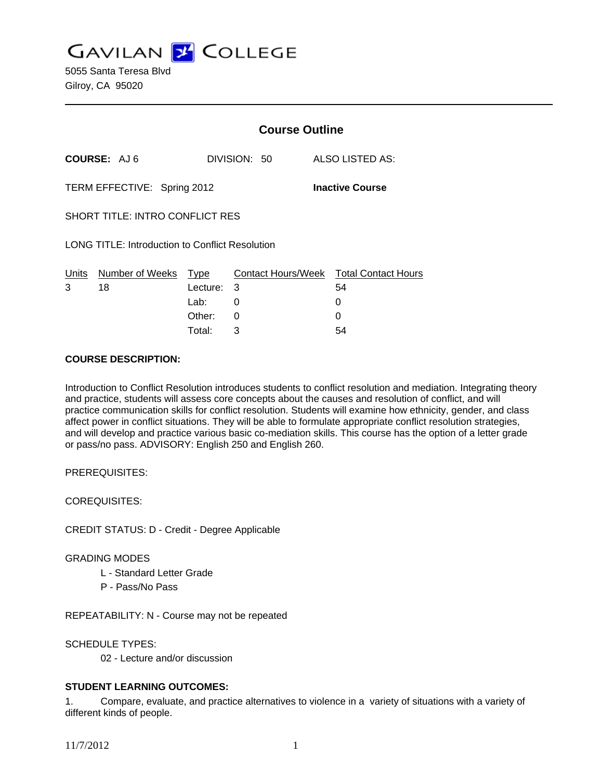**GAVILAN Z COLLEGE** 

|                                                       |                       | <b>Course Outline</b> |              |  |                                              |
|-------------------------------------------------------|-----------------------|-----------------------|--------------|--|----------------------------------------------|
| COURSE: AJ6                                           |                       |                       | DIVISION: 50 |  | ALSO LISTED AS:                              |
| TERM EFFECTIVE: Spring 2012<br><b>Inactive Course</b> |                       |                       |              |  |                                              |
| <b>SHORT TITLE: INTRO CONFLICT RES</b>                |                       |                       |              |  |                                              |
| LONG TITLE: Introduction to Conflict Resolution       |                       |                       |              |  |                                              |
| Units<br>3                                            | Number of Weeks<br>18 | Type<br>Lecture:      | 3            |  | Contact Hours/Week Total Contact Hours<br>54 |
|                                                       |                       | Lab:                  | 0            |  | 0                                            |
|                                                       |                       | Other:                | 0            |  |                                              |

Total: 3 54

### **COURSE DESCRIPTION:**

Introduction to Conflict Resolution introduces students to conflict resolution and mediation. Integrating theory and practice, students will assess core concepts about the causes and resolution of conflict, and will practice communication skills for conflict resolution. Students will examine how ethnicity, gender, and class affect power in conflict situations. They will be able to formulate appropriate conflict resolution strategies, and will develop and practice various basic co-mediation skills. This course has the option of a letter grade or pass/no pass. ADVISORY: English 250 and English 260.

PREREQUISITES:

COREQUISITES:

CREDIT STATUS: D - Credit - Degree Applicable

### GRADING MODES

- L Standard Letter Grade
- P Pass/No Pass

REPEATABILITY: N - Course may not be repeated

SCHEDULE TYPES:

02 - Lecture and/or discussion

# **STUDENT LEARNING OUTCOMES:**

1. Compare, evaluate, and practice alternatives to violence in a variety of situations with a variety of different kinds of people.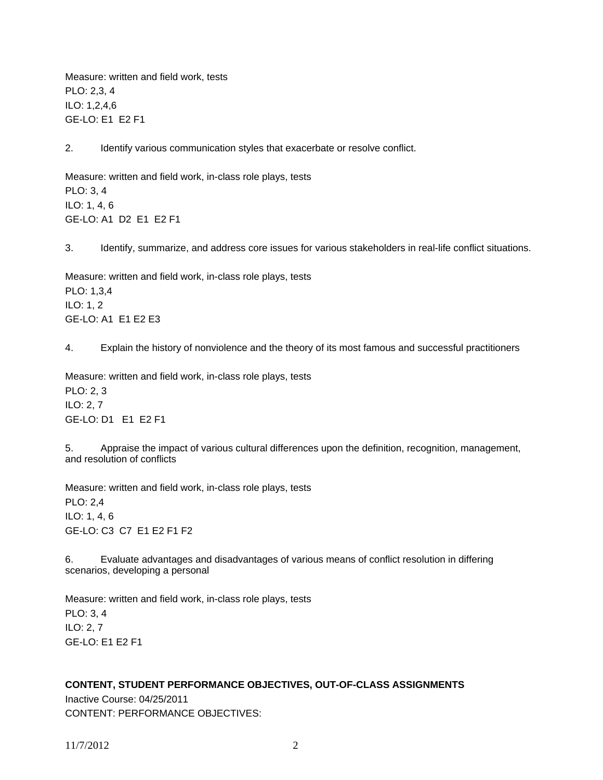Measure: written and field work, tests PLO: 2,3, 4 ILO: 1,2,4,6 GE-LO: E1 E2 F1

2. Identify various communication styles that exacerbate or resolve conflict.

Measure: written and field work, in-class role plays, tests PLO: 3, 4 ILO: 1, 4, 6 GE-LO: A1 D2 E1 E2 F1

3. Identify, summarize, and address core issues for various stakeholders in real-life conflict situations.

Measure: written and field work, in-class role plays, tests PLO: 1,3,4 ILO: 1, 2 GE-LO: A1 E1 E2 E3

4. Explain the history of nonviolence and the theory of its most famous and successful practitioners

Measure: written and field work, in-class role plays, tests PLO: 2, 3 ILO: 2, 7 GE-LO: D1 E1 E2 F1

5. Appraise the impact of various cultural differences upon the definition, recognition, management, and resolution of conflicts

Measure: written and field work, in-class role plays, tests PLO: 2,4 ILO: 1, 4, 6 GE-LO: C3 C7 E1 E2 F1 F2

6. Evaluate advantages and disadvantages of various means of conflict resolution in differing scenarios, developing a personal

Measure: written and field work, in-class role plays, tests PLO: 3, 4 ILO: 2, 7 GE-LO: E1 E2 F1

# **CONTENT, STUDENT PERFORMANCE OBJECTIVES, OUT-OF-CLASS ASSIGNMENTS**

Inactive Course: 04/25/2011 CONTENT: PERFORMANCE OBJECTIVES:

11/7/2012 2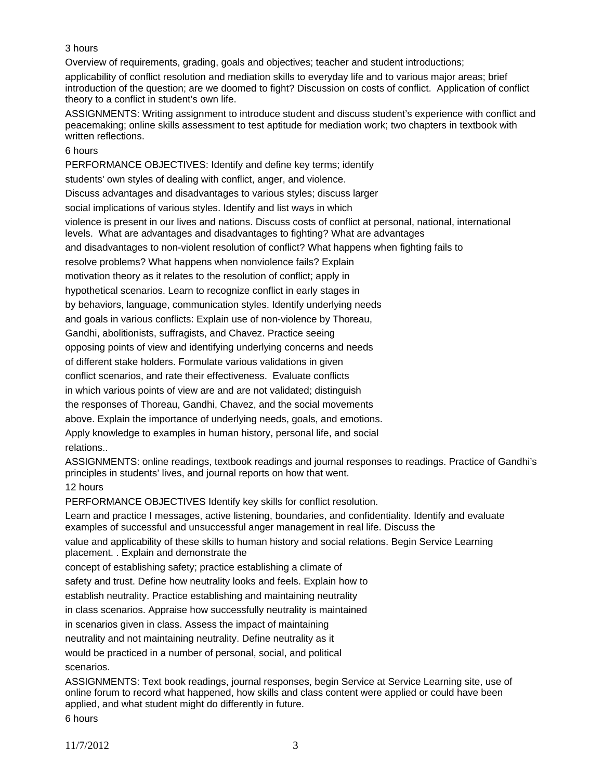# 3 hours

Overview of requirements, grading, goals and objectives; teacher and student introductions;

applicability of conflict resolution and mediation skills to everyday life and to various major areas; brief introduction of the question; are we doomed to fight? Discussion on costs of conflict. Application of conflict theory to a conflict in student's own life.

ASSIGNMENTS: Writing assignment to introduce student and discuss student's experience with conflict and peacemaking; online skills assessment to test aptitude for mediation work; two chapters in textbook with written reflections.

### 6 hours

PERFORMANCE OBJECTIVES: Identify and define key terms; identify

students' own styles of dealing with conflict, anger, and violence.

Discuss advantages and disadvantages to various styles; discuss larger

social implications of various styles. Identify and list ways in which

violence is present in our lives and nations. Discuss costs of conflict at personal, national, international

levels. What are advantages and disadvantages to fighting? What are advantages

and disadvantages to non-violent resolution of conflict? What happens when fighting fails to

resolve problems? What happens when nonviolence fails? Explain

motivation theory as it relates to the resolution of conflict; apply in

hypothetical scenarios. Learn to recognize conflict in early stages in

by behaviors, language, communication styles. Identify underlying needs

and goals in various conflicts: Explain use of non-violence by Thoreau,

Gandhi, abolitionists, suffragists, and Chavez. Practice seeing

opposing points of view and identifying underlying concerns and needs

of different stake holders. Formulate various validations in given

conflict scenarios, and rate their effectiveness. Evaluate conflicts

in which various points of view are and are not validated; distinguish

the responses of Thoreau, Gandhi, Chavez, and the social movements

above. Explain the importance of underlying needs, goals, and emotions.

Apply knowledge to examples in human history, personal life, and social relations..

ASSIGNMENTS: online readings, textbook readings and journal responses to readings. Practice of Gandhi's principles in students' lives, and journal reports on how that went.

# 12 hours

PERFORMANCE OBJECTIVES Identify key skills for conflict resolution.

Learn and practice I messages, active listening, boundaries, and confidentiality. Identify and evaluate examples of successful and unsuccessful anger management in real life. Discuss the

value and applicability of these skills to human history and social relations. Begin Service Learning placement. . Explain and demonstrate the

concept of establishing safety; practice establishing a climate of

safety and trust. Define how neutrality looks and feels. Explain how to

establish neutrality. Practice establishing and maintaining neutrality

in class scenarios. Appraise how successfully neutrality is maintained

in scenarios given in class. Assess the impact of maintaining

neutrality and not maintaining neutrality. Define neutrality as it

would be practiced in a number of personal, social, and political scenarios.

ASSIGNMENTS: Text book readings, journal responses, begin Service at Service Learning site, use of online forum to record what happened, how skills and class content were applied or could have been applied, and what student might do differently in future.

6 hours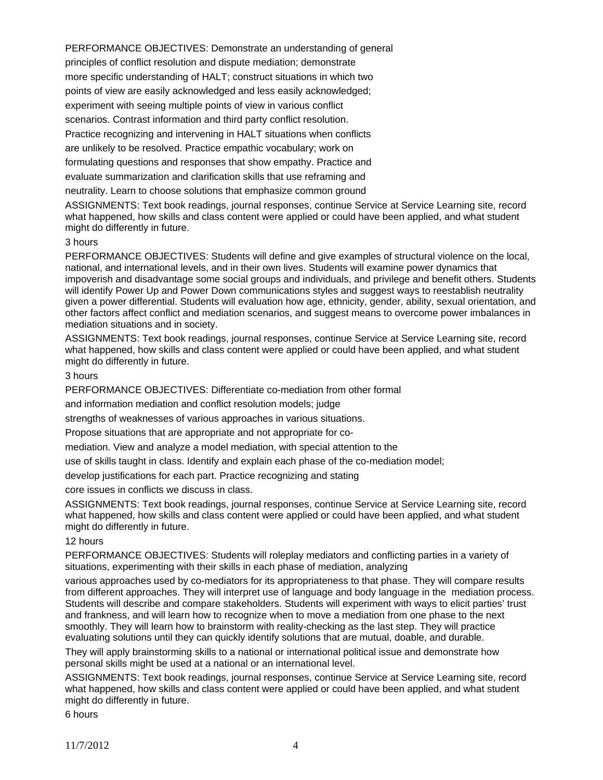PERFORMANCE OBJECTIVES: Demonstrate an understanding of general principles of conflict resolution and dispute mediation; demonstrate more specific understanding of HALT; construct situations in which two points of view are easily acknowledged and less easily acknowledged; experiment with seeing multiple points of view in various conflict scenarios. Contrast information and third party conflict resolution. Practice recognizing and intervening in HALT situations when conflicts are unlikely to be resolved. Practice empathic vocabulary; work on formulating questions and responses that show empathy. Practice and evaluate summarization and clarification skills that use reframing and neutrality. Learn to choose solutions that emphasize common ground

ASSIGNMENTS: Text book readings, journal responses, continue Service at Service Learning site, record what happened, how skills and class content were applied or could have been applied, and what student might do differently in future.

#### 3 hours

PERFORMANCE OBJECTIVES: Students will define and give examples of structural violence on the local, national, and international levels, and in their own lives. Students will examine power dynamics that impoverish and disadvantage some social groups and individuals, and privilege and benefit others. Students will identify Power Up and Power Down communications styles and suggest ways to reestablish neutrality given a power differential. Students will evaluation how age, ethnicity, gender, ability, sexual orientation, and other factors affect conflict and mediation scenarios, and suggest means to overcome power imbalances in mediation situations and in society.

ASSIGNMENTS: Text book readings, journal responses, continue Service at Service Learning site, record what happened, how skills and class content were applied or could have been applied, and what student might do differently in future.

### 3 hours

PERFORMANCE OBJECTIVES: Differentiate co-mediation from other formal

and information mediation and conflict resolution models; judge

strengths of weaknesses of various approaches in various situations.

Propose situations that are appropriate and not appropriate for co-

mediation. View and analyze a model mediation, with special attention to the

use of skills taught in class. Identify and explain each phase of the co-mediation model;

develop justifications for each part. Practice recognizing and stating

core issues in conflicts we discuss in class.

ASSIGNMENTS: Text book readings, journal responses, continue Service at Service Learning site, record what happened, how skills and class content were applied or could have been applied, and what student might do differently in future.

### 12 hours

PERFORMANCE OBJECTIVES: Students will roleplay mediators and conflicting parties in a variety of situations, experimenting with their skills in each phase of mediation, analyzing

various approaches used by co-mediators for its appropriateness to that phase. They will compare results from different approaches. They will interpret use of language and body language in the mediation process. Students will describe and compare stakeholders. Students will experiment with ways to elicit parties' trust and frankness, and will learn how to recognize when to move a mediation from one phase to the next smoothly. They will learn how to brainstorm with reality-checking as the last step. They will practice evaluating solutions until they can quickly identify solutions that are mutual, doable, and durable.

They will apply brainstorming skills to a national or international political issue and demonstrate how personal skills might be used at a national or an international level.

ASSIGNMENTS: Text book readings, journal responses, continue Service at Service Learning site, record what happened, how skills and class content were applied or could have been applied, and what student might do differently in future.

6 hours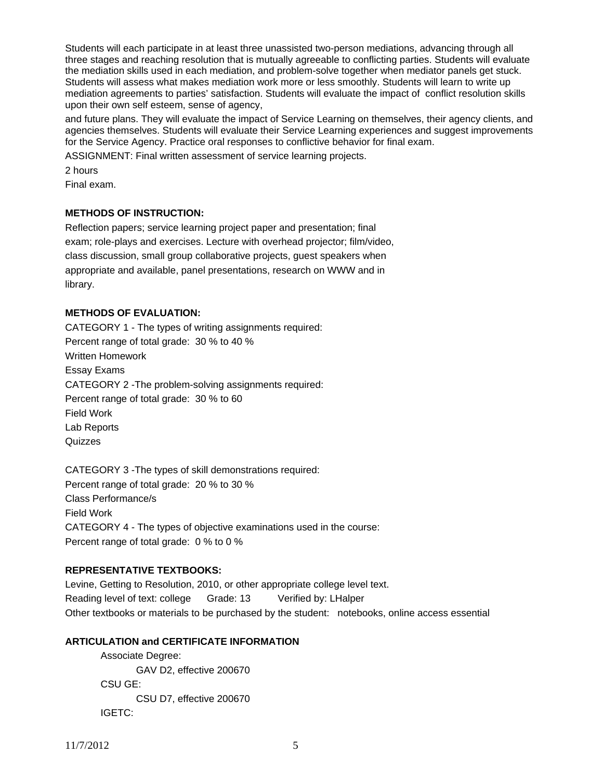Students will each participate in at least three unassisted two-person mediations, advancing through all three stages and reaching resolution that is mutually agreeable to conflicting parties. Students will evaluate the mediation skills used in each mediation, and problem-solve together when mediator panels get stuck. Students will assess what makes mediation work more or less smoothly. Students will learn to write up mediation agreements to parties' satisfaction. Students will evaluate the impact of conflict resolution skills upon their own self esteem, sense of agency,

and future plans. They will evaluate the impact of Service Learning on themselves, their agency clients, and agencies themselves. Students will evaluate their Service Learning experiences and suggest improvements for the Service Agency. Practice oral responses to conflictive behavior for final exam.

ASSIGNMENT: Final written assessment of service learning projects.

2 hours

Final exam.

# **METHODS OF INSTRUCTION:**

Reflection papers; service learning project paper and presentation; final exam; role-plays and exercises. Lecture with overhead projector; film/video, class discussion, small group collaborative projects, guest speakers when appropriate and available, panel presentations, research on WWW and in library.

### **METHODS OF EVALUATION:**

CATEGORY 1 - The types of writing assignments required: Percent range of total grade: 30 % to 40 % Written Homework Essay Exams CATEGORY 2 -The problem-solving assignments required: Percent range of total grade: 30 % to 60 Field Work Lab Reports **Quizzes** 

CATEGORY 3 -The types of skill demonstrations required: Percent range of total grade: 20 % to 30 % Class Performance/s Field Work CATEGORY 4 - The types of objective examinations used in the course: Percent range of total grade: 0 % to 0 %

# **REPRESENTATIVE TEXTBOOKS:**

Levine, Getting to Resolution, 2010, or other appropriate college level text. Reading level of text: college Grade: 13 Verified by: LHalper Other textbooks or materials to be purchased by the student: notebooks, online access essential

# **ARTICULATION and CERTIFICATE INFORMATION**

 Associate Degree: GAV D2, effective 200670 CSU GE: CSU D7, effective 200670 IGETC: